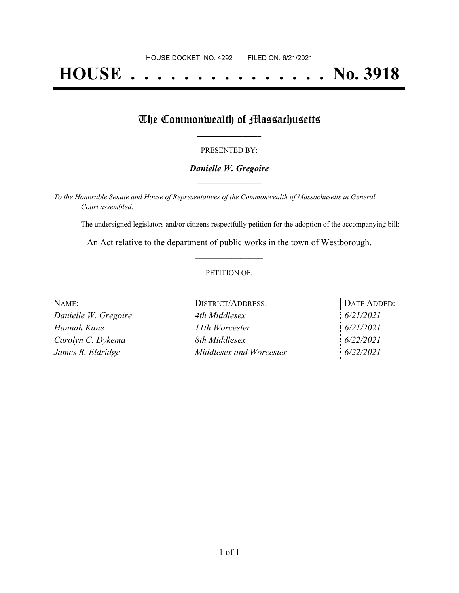# **HOUSE . . . . . . . . . . . . . . . No. 3918**

## The Commonwealth of Massachusetts

#### PRESENTED BY:

#### *Danielle W. Gregoire* **\_\_\_\_\_\_\_\_\_\_\_\_\_\_\_\_\_**

*To the Honorable Senate and House of Representatives of the Commonwealth of Massachusetts in General Court assembled:*

The undersigned legislators and/or citizens respectfully petition for the adoption of the accompanying bill:

An Act relative to the department of public works in the town of Westborough. **\_\_\_\_\_\_\_\_\_\_\_\_\_\_\_**

#### PETITION OF:

| NAME:                | <b>I DISTRICT/ADDRESS:</b> | DATE ADDED: |
|----------------------|----------------------------|-------------|
| Danielle W. Gregoire | 4th Middlesex              | 6/21/2021   |
| Hannah Kane          | 11th Worcester             | 6/21/2021   |
| Carolyn C. Dykema    | 8th Middlesex              | 6/22/2021   |
| James B. Eldridge    | Middlesex and Worcester    | 6/22/2021   |